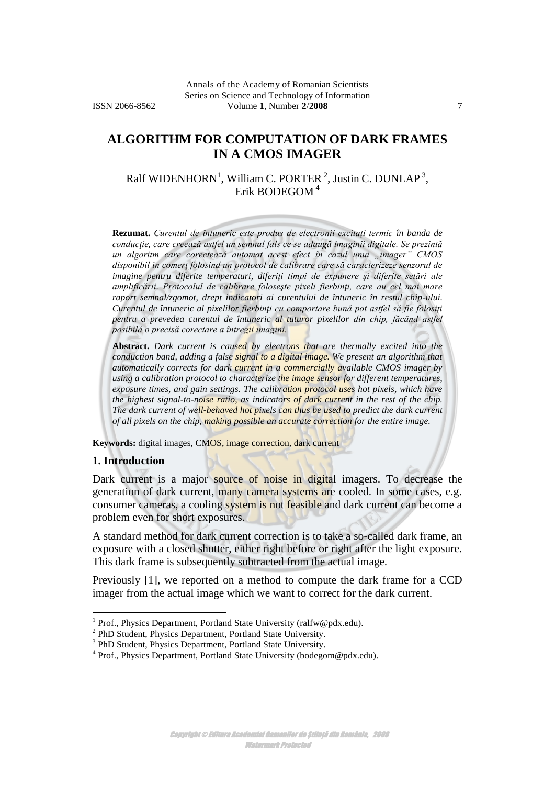# **ALGORITHM FOR COMPUTATION OF DARK FRAMES IN A CMOS IMAGER**

Ralf WIDENHORN<sup>1</sup>, William C. PORTER<sup>2</sup>, Justin C. DUNLAP<sup>3</sup>, Erik BODEGOM <sup>4</sup>

**Rezumat.** *Curentul de întuneric este produs de electronii excitaţi termic în banda de conducţie, care creează astfel un semnal fals ce se adaugă imaginii digitale. Se prezintă un algoritm care corectează automat acest efect în cazul unui "imager" CMOS disponibil în comerţ folosind un protocol de calibrare care să caracterizeze senzorul de imagine pentru diferite temperaturi, diferiţi timpi de expunere şi diferite setări ale amplificării. Protocolul de calibrare foloseşte pixeli fierbinţi, care au cel mai mare raport semnal/zgomot, drept indicatori ai curentului de întuneric în restul chip-ului. Curentul de întuneric al pixelilor fierbinţi cu comportare bună pot astfel să fie folosiţi pentru a prevedea curentul de întuneric al tuturor pixelilor din chip, făcând astfel posibilă o precisă corectare a întregii imagini.*

**Abstract.** *Dark current is caused by electrons that are thermally excited into the conduction band, adding a false signal to a digital image. We present an algorithm that automatically corrects for dark current in a commercially available CMOS imager by using a calibration protocol to characterize the image sensor for different temperatures, exposure times, and gain settings. The calibration protocol uses hot pixels, which have the highest signal-to-noise ratio, as indicators of dark current in the rest of the chip. The dark current of well-behaved hot pixels can thus be used to predict the dark current of all pixels on the chip, making possible an accurate correction for the entire image.*

**Keywords:** digital images, CMOS, image correction, dark current

#### **1. Introduction**

 $\overline{a}$ 

Dark current is a major source of noise in digital imagers. To decrease the generation of dark current, many camera systems are cooled. In some cases, e.g. consumer cameras, a cooling system is not feasible and dark current can become a problem even for short exposures.

A standard method for dark current correction is to take a so-called dark frame, an exposure with a closed shutter, either right before or right after the light exposure. This dark frame is subsequently subtracted from the actual image.

Previously [1], we reported on a method to compute the dark frame for a CCD imager from the actual image which we want to correct for the dark current.

Copyright © Editura Academiei Oamenilor de Știință din România, 2008 Watermark Protected

<sup>&</sup>lt;sup>1</sup> Prof., Physics Department, Portland State University (ralfw@pdx.edu).

<sup>&</sup>lt;sup>2</sup> PhD Student, Physics Department, Portland State University.

<sup>&</sup>lt;sup>3</sup> PhD Student, Physics Department, Portland State University.

<sup>&</sup>lt;sup>4</sup> Prof., Physics Department, Portland State University (bodegom@pdx.edu).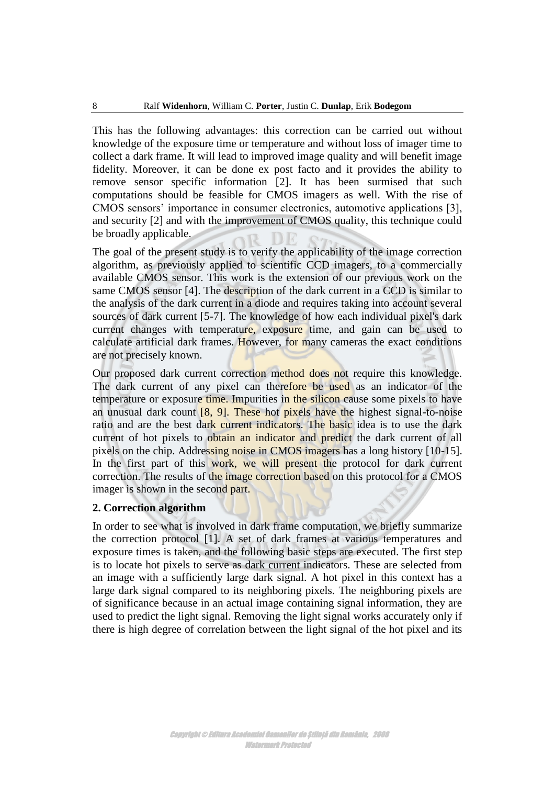This has the following advantages: this correction can be carried out without knowledge of the exposure time or temperature and without loss of imager time to collect a dark frame. It will lead to improved image quality and will benefit image fidelity. Moreover, it can be done ex post facto and it provides the ability to remove sensor specific information [2]. It has been surmised that such computations should be feasible for CMOS imagers as well. With the rise of CMOS sensors' importance in consumer electronics, automotive applications [3], and security [2] and with the improvement of CMOS quality, this technique could be broadly applicable.

The goal of the present study is to verify the applicability of the image correction algorithm, as previously applied to scientific CCD imagers, to a commercially available CMOS sensor. This work is the extension of our previous work on the same CMOS sensor [4]. The description of the dark current in a CCD is similar to the analysis of the dark current in a diode and requires taking into account several sources of dark current [5-7]. The knowledge of how each individual pixel's dark current changes with temperature, exposure time, and gain can be used to calculate artificial dark frames. However, for many cameras the exact conditions are not precisely known.

Our proposed dark current correction method does not require this knowledge. The dark current of any pixel can therefore be used as an indicator of the temperature or exposure time. Impurities in the silicon cause some pixels to have an unusual dark count  $[8, 9]$ . These hot pixels have the highest signal-to-noise ratio and are the best dark current indicators. The basic idea is to use the dark current of hot pixels to obtain an indicator and predict the dark current of all pixels on the chip. Addressing noise in CMOS imagers has a long history [10-15]. In the first part of this work, we will present the protocol for dark current correction. The results of the image correction based on this protocol for a CMOS imager is shown in the second part.

### **2. Correction algorithm**

In order to see what is involved in dark frame computation, we briefly summarize the correction protocol [1]. A set of dark frames at various temperatures and exposure times is taken, and the following basic steps are executed. The first step is to locate hot pixels to serve as dark current indicators. These are selected from an image with a sufficiently large dark signal. A hot pixel in this context has a large dark signal compared to its neighboring pixels. The neighboring pixels are of significance because in an actual image containing signal information, they are used to predict the light signal. Removing the light signal works accurately only if there is high degree of correlation between the light signal of the hot pixel and its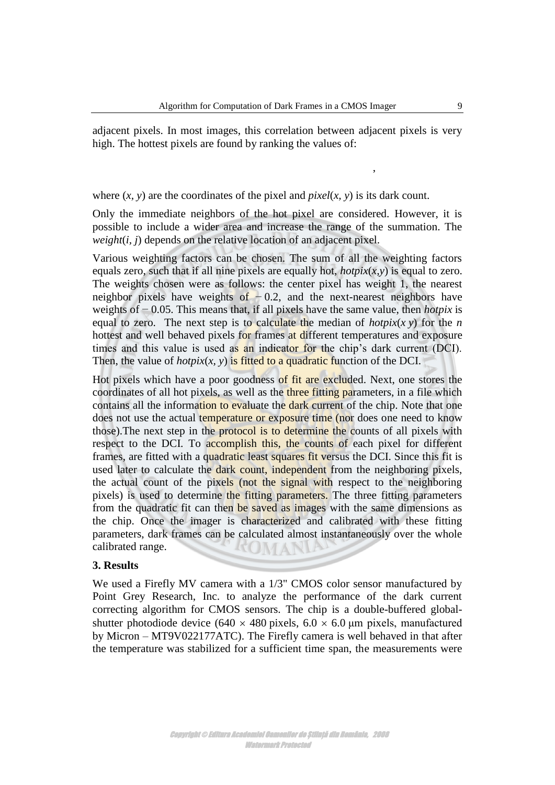adjacent pixels. In most images, this correlation between adjacent pixels is very high. The hottest pixels are found by ranking the values of:

where  $(x, y)$  are the coordinates of the pixel and *pixel* $(x, y)$  is its dark count.

Only the immediate neighbors of the hot pixel are considered. However, it is possible to include a wider area and increase the range of the summation. The *weight*(*i, j*) depends on the relative location of an adjacent pixel.

Various weighting factors can be chosen. The sum of all the weighting factors equals zero, such that if all nine pixels are equally hot,  $hotpix(x, y)$  is equal to zero. The weights chosen were as follows: the center pixel has weight 1, the nearest neighbor pixels have weights of  $-0.2$ , and the next-nearest neighbors have weights of − 0.05. This means that, if all pixels have the same value, then *hotpix* is equal to zero. The next step is to calculate the median of  $hotpix(x y)$  for the *n* hottest and well behaved pixels for frames at different temperatures and exposure times and this value is used as an indicator for the chip's dark current (DCI). Then, the value of  $hotpix(x, y)$  is fitted to a quadratic function of the DCI.

**s** and in the therme in a CM(K Irage<br> **h** S. It<br>
is correlation between adjacent pixels is very<br>
all by ranking the values of:<br>
of the pixel and *pixel*(x, y) is its dark count.<br>
of the hote sine are considered LIGNeverr Hot pixels which have a poor goodness of fit are excluded. Next, one stores the coordinates of all hot pixels, as well as the three fitting parameters, in a file which contains all the information to evaluate the dark current of the chip. Note that one does not use the actual temperature or exposure time (nor does one need to know those).The next step in the protocol is to determine the counts of all pixels with respect to the DCI. To accomplish this, the counts of each pixel for different frames, are fitted with a quadratic least squares fit versus the DCI. Since this fit is used later to calculate the dark count, independent from the neighboring pixels, the actual count of the pixels (not the signal with respect to the neighboring pixels) is used to determine the fitting parameters. The three fitting parameters from the quadratic fit can then be saved as images with the same dimensions as the chip. Once the imager is characterized and calibrated with these fitting parameters, dark frames can be calculated almost instantaneously over the whole calibrated range.

#### **3. Results**

We used a Firefly MV camera with a 1/3" CMOS color sensor manufactured by Point Grey Research, Inc. to analyze the performance of the dark current correcting algorithm for CMOS sensors. The chip is a double-buffered globalshutter photodiode device (640  $\times$  480 pixels, 6.0  $\times$  6.0 µm pixels, manufactured by Micron – MT9V022177ATC). The Firefly camera is well behaved in that after the temperature was stabilized for a sufficient time span, the measurements were

,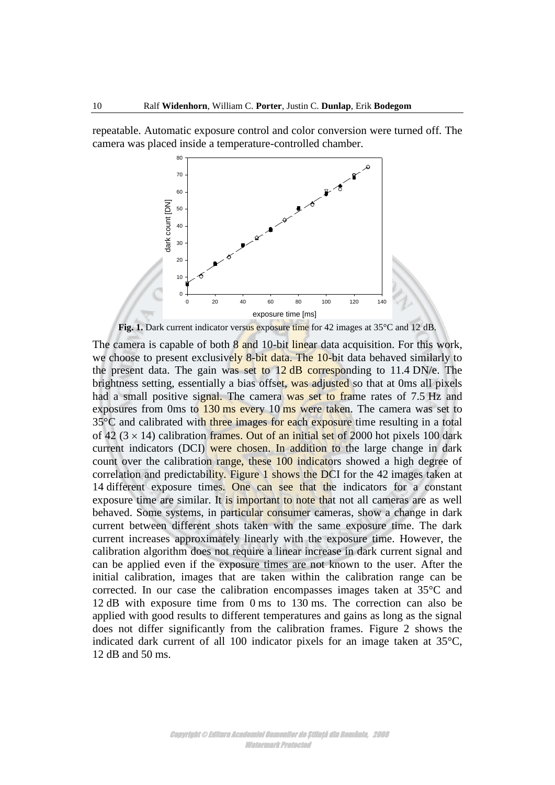repeatable. Automatic exposure control and color conversion were turned off. The camera was placed inside a temperature-controlled chamber.



Fig. 1. Dark current indicator versus exposure time for 42 images at 35°C and 12 dB.

The camera is capable of both  $8$  and 10-bit linear data acquisition. For this work, we choose to present exclusively 8-bit data. The 10-bit data behaved similarly to the present data. The gain was set to  $12$  dB corresponding to  $11.4$  DN/e. The brightness setting, essentially a bias offset, was adjusted so that at 0ms all pixels had a small positive signal. The camera was set to frame rates of 7.5 Hz and exposures from 0ms to 130 ms every 10 ms were taken. The camera was set to 35<sup>°</sup>C and calibrated with three images for each exposure time resulting in a total of 42 ( $3 \times 14$ ) calibration frames. Out of an initial set of 2000 hot pixels 100 dark current indicators (DCI) were chosen. In addition to the large change in dark count over the calibration range, these 100 indicators showed a high degree of correlation and predictability. Figure 1 shows the DCI for the 42 images taken at 14 different exposure times. One can see that the indicators for a constant exposure time are similar. It is important to note that not all cameras are as well behaved. Some systems, in particular consumer cameras, show a change in dark current between different shots taken with the same exposure time. The dark current increases approximately linearly with the exposure time. However, the calibration algorithm does not require a linear increase in dark current signal and can be applied even if the exposure times are not known to the user. After the initial calibration, images that are taken within the calibration range can be corrected. In our case the calibration encompasses images taken at 35°C and 12 dB with exposure time from 0 ms to 130 ms. The correction can also be applied with good results to different temperatures and gains as long as the signal does not differ significantly from the calibration frames. Figure 2 shows the indicated dark current of all 100 indicator pixels for an image taken at 35°C, 12 dB and 50 ms.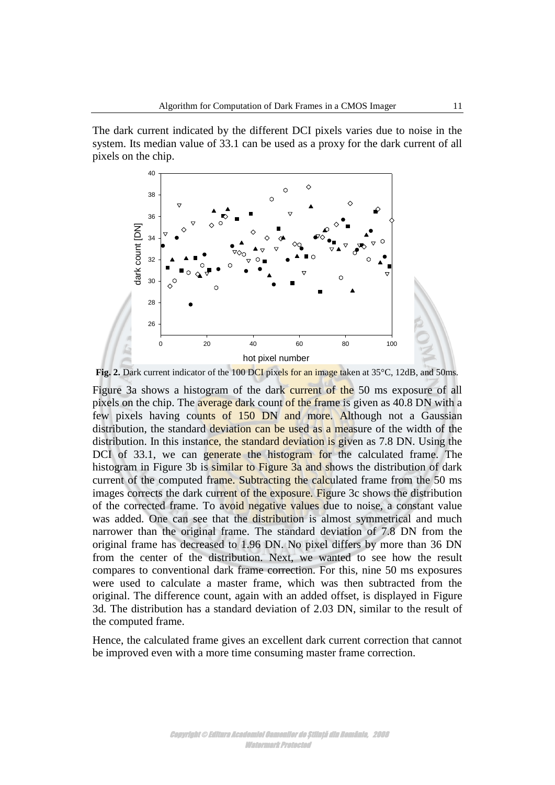The dark current indicated by the different DCI pixels varies due to noise in the system. Its median value of 33.1 can be used as a proxy for the dark current of all pixels on the chip.



Fig. 2. Dark current indicator of the 100 DCI pixels for an image taken at 35°C, 12dB, and 50ms.

Figure 3a shows a histogram of the dark current of the 50 ms exposure of all pixels on the chip. The average dark count of the frame is given as 40.8 DN with a few pixels having counts of 150 DN and more. Although not a Gaussian distribution, the standard deviation can be used as a measure of the width of the distribution. In this instance, the standard deviation is given as 7.8 DN. Using the DCI of 33.1, we can generate the histogram for the calculated frame. The histogram in Figure 3b is similar to Figure 3a and shows the distribution of dark current of the computed frame. Subtracting the calculated frame from the 50 ms images corrects the dark current of the exposure. Figure 3c shows the distribution of the corrected frame. To avoid negative values due to noise, a constant value was added. One can see that the distribution is almost symmetrical and much narrower than the original frame. The standard deviation of 7.8 DN from the original frame has decreased to 1.96 DN. No pixel differs by more than 36 DN from the center of the distribution. Next, we wanted to see how the result compares to conventional dark frame correction. For this, nine 50 ms exposures were used to calculate a master frame, which was then subtracted from the original. The difference count, again with an added offset, is displayed in Figure 3d. The distribution has a standard deviation of 2.03 DN, similar to the result of the computed frame.

Hence, the calculated frame gives an excellent dark current correction that cannot be improved even with a more time consuming master frame correction.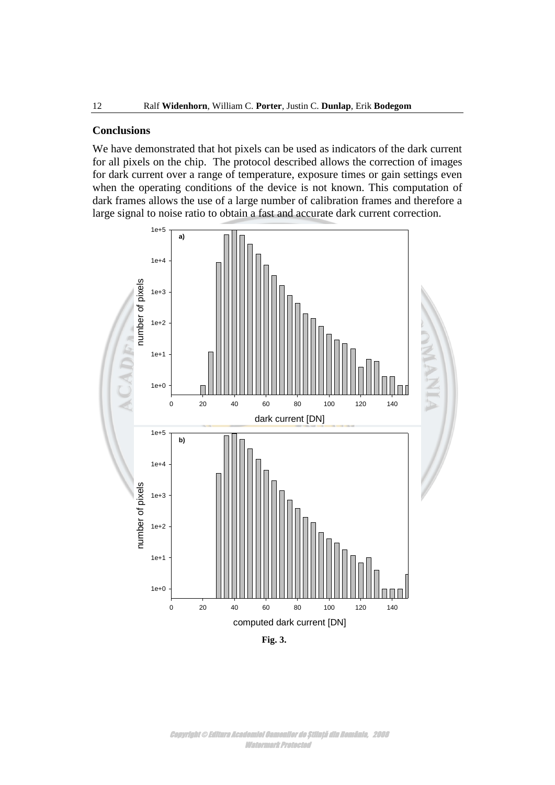#### **Conclusions**

We have demonstrated that hot pixels can be used as indicators of the dark current for all pixels on the chip. The protocol described allows the correction of images for dark current over a range of temperature, exposure times or gain settings even when the operating conditions of the device is not known. This computation of dark frames allows the use of a large number of calibration frames and therefore a large signal to noise ratio to obtain a fast and accurate dark current correction.



**Fig. 3.**

Copyright © Editura Academiei Oamenilor de Știință din România, 2008 Watermark Protected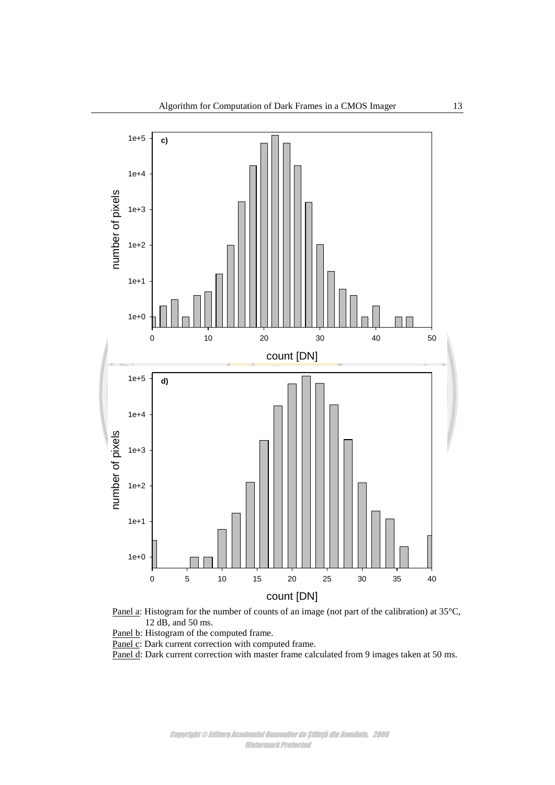



Panel b: Histogram of the computed frame.

Panel c: Dark current correction with computed frame.

Panel d: Dark current correction with master frame calculated from 9 images taken at 50 ms.